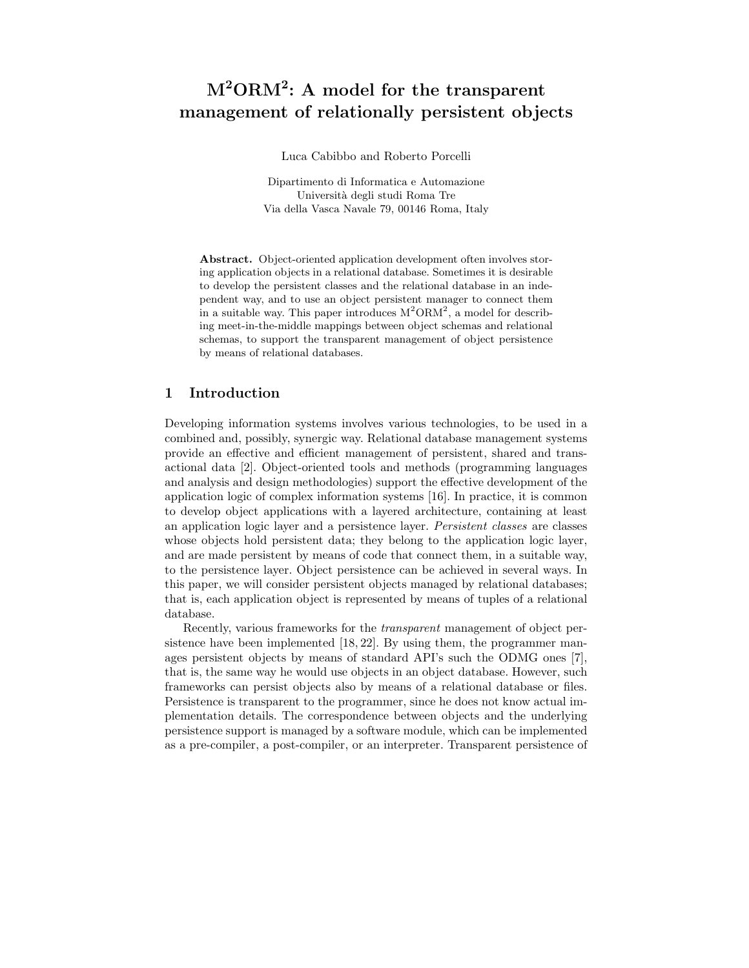# $M^2ORM^2$ : A model for the transparent management of relationally persistent objects

Luca Cabibbo and Roberto Porcelli

Dipartimento di Informatica e Automazione Universit`a degli studi Roma Tre Via della Vasca Navale 79, 00146 Roma, Italy

Abstract. Object-oriented application development often involves storing application objects in a relational database. Sometimes it is desirable to develop the persistent classes and the relational database in an independent way, and to use an object persistent manager to connect them in a suitable way. This paper introduces  $M^2\text{ORM}^2$ , a model for describing meet-in-the-middle mappings between object schemas and relational schemas, to support the transparent management of object persistence by means of relational databases.

# 1 Introduction

Developing information systems involves various technologies, to be used in a combined and, possibly, synergic way. Relational database management systems provide an effective and efficient management of persistent, shared and transactional data [2]. Object-oriented tools and methods (programming languages and analysis and design methodologies) support the effective development of the application logic of complex information systems [16]. In practice, it is common to develop object applications with a layered architecture, containing at least an application logic layer and a persistence layer. Persistent classes are classes whose objects hold persistent data; they belong to the application logic layer, and are made persistent by means of code that connect them, in a suitable way, to the persistence layer. Object persistence can be achieved in several ways. In this paper, we will consider persistent objects managed by relational databases; that is, each application object is represented by means of tuples of a relational database.

Recently, various frameworks for the transparent management of object persistence have been implemented [18, 22]. By using them, the programmer manages persistent objects by means of standard API's such the ODMG ones [7], that is, the same way he would use objects in an object database. However, such frameworks can persist objects also by means of a relational database or files. Persistence is transparent to the programmer, since he does not know actual implementation details. The correspondence between objects and the underlying persistence support is managed by a software module, which can be implemented as a pre-compiler, a post-compiler, or an interpreter. Transparent persistence of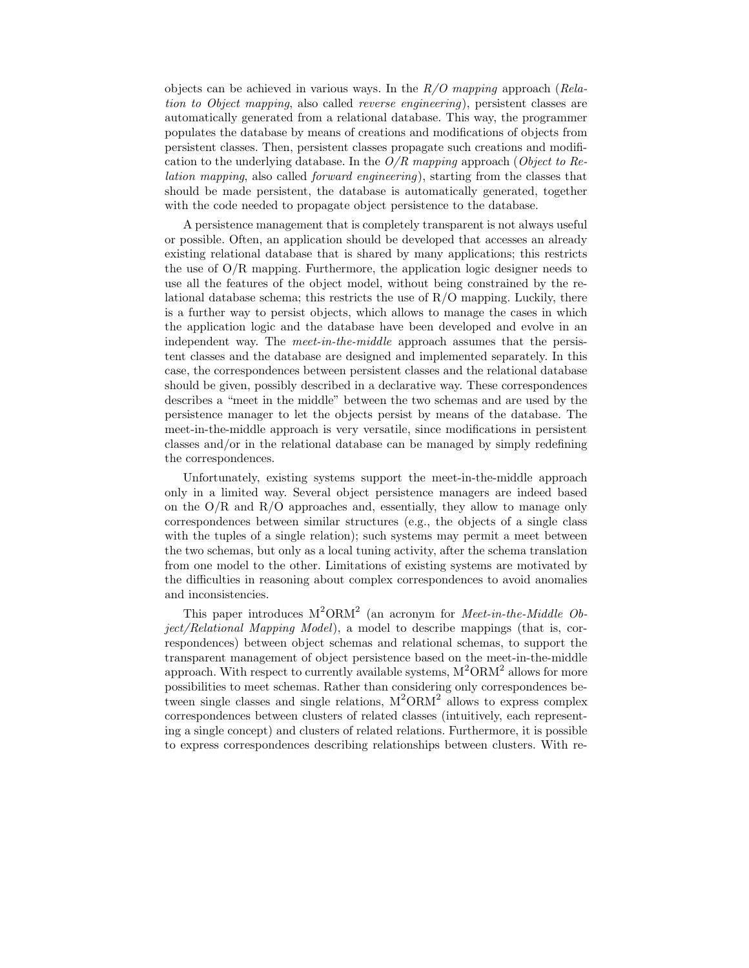objects can be achieved in various ways. In the  $R/O$  mapping approach (Relation to Object mapping, also called reverse engineering), persistent classes are automatically generated from a relational database. This way, the programmer populates the database by means of creations and modifications of objects from persistent classes. Then, persistent classes propagate such creations and modification to the underlying database. In the  $O/R$  mapping approach (Object to Relation mapping, also called forward engineering), starting from the classes that should be made persistent, the database is automatically generated, together with the code needed to propagate object persistence to the database.

A persistence management that is completely transparent is not always useful or possible. Often, an application should be developed that accesses an already existing relational database that is shared by many applications; this restricts the use of O/R mapping. Furthermore, the application logic designer needs to use all the features of the object model, without being constrained by the relational database schema; this restricts the use of R/O mapping. Luckily, there is a further way to persist objects, which allows to manage the cases in which the application logic and the database have been developed and evolve in an independent way. The *meet-in-the-middle* approach assumes that the persistent classes and the database are designed and implemented separately. In this case, the correspondences between persistent classes and the relational database should be given, possibly described in a declarative way. These correspondences describes a "meet in the middle" between the two schemas and are used by the persistence manager to let the objects persist by means of the database. The meet-in-the-middle approach is very versatile, since modifications in persistent classes and/or in the relational database can be managed by simply redefining the correspondences.

Unfortunately, existing systems support the meet-in-the-middle approach only in a limited way. Several object persistence managers are indeed based on the  $O/R$  and  $R/O$  approaches and, essentially, they allow to manage only correspondences between similar structures (e.g., the objects of a single class with the tuples of a single relation); such systems may permit a meet between the two schemas, but only as a local tuning activity, after the schema translation from one model to the other. Limitations of existing systems are motivated by the difficulties in reasoning about complex correspondences to avoid anomalies and inconsistencies.

This paper introduces  $M^2\text{ORM}^2$  (an acronym for *Meet-in-the-Middle Ob* $ject/Relational Mapping Model$ , a model to describe mappings (that is, correspondences) between object schemas and relational schemas, to support the transparent management of object persistence based on the meet-in-the-middle approach. With respect to currently available systems,  $M^2\text{ORM}^2$  allows for more possibilities to meet schemas. Rather than considering only correspondences between single classes and single relations,  $M^2\text{ORM}^2$  allows to express complex correspondences between clusters of related classes (intuitively, each representing a single concept) and clusters of related relations. Furthermore, it is possible to express correspondences describing relationships between clusters. With re-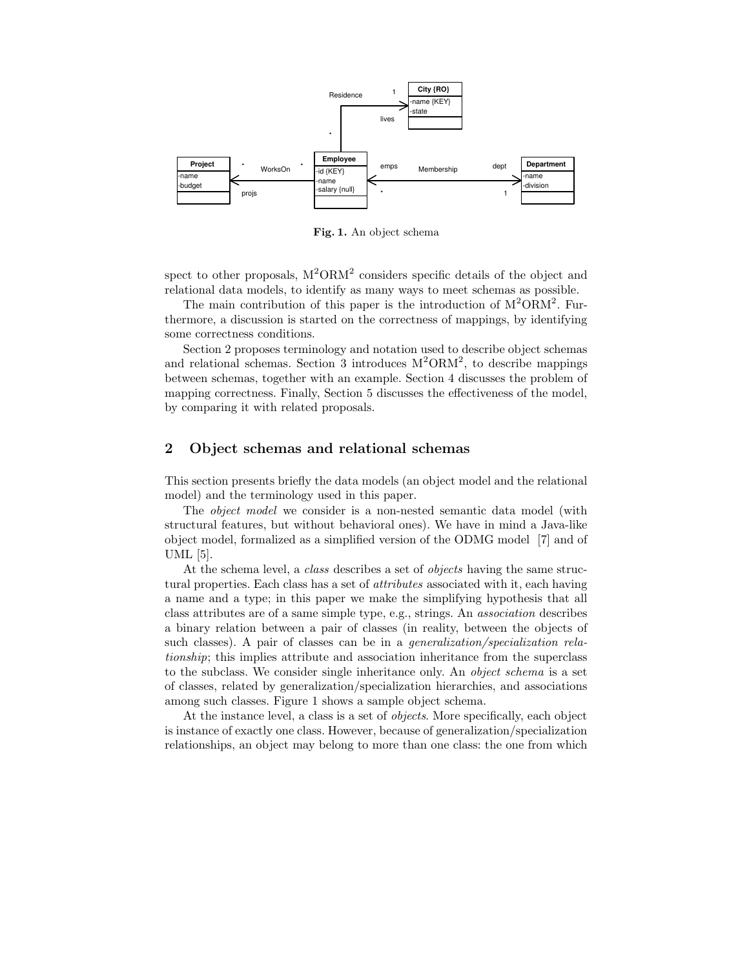

Fig. 1. An object schema

spect to other proposals,  $M^2\text{ORM}^2$  considers specific details of the object and relational data models, to identify as many ways to meet schemas as possible.

The main contribution of this paper is the introduction of  $M^2\text{ORM}^2$ . Furthermore, a discussion is started on the correctness of mappings, by identifying some correctness conditions.

Section 2 proposes terminology and notation used to describe object schemas and relational schemas. Section  $\tilde{3}$  introduces  $M^2\text{ORM}^2$ , to describe mappings between schemas, together with an example. Section 4 discusses the problem of mapping correctness. Finally, Section 5 discusses the effectiveness of the model, by comparing it with related proposals.

# 2 Object schemas and relational schemas

This section presents briefly the data models (an object model and the relational model) and the terminology used in this paper.

The *object model* we consider is a non-nested semantic data model (with structural features, but without behavioral ones). We have in mind a Java-like object model, formalized as a simplified version of the ODMG model [7] and of UML [5].

At the schema level, a *class* describes a set of *objects* having the same structural properties. Each class has a set of attributes associated with it, each having a name and a type; in this paper we make the simplifying hypothesis that all class attributes are of a same simple type, e.g., strings. An association describes a binary relation between a pair of classes (in reality, between the objects of such classes). A pair of classes can be in a *generalization/specialization rela*tionship; this implies attribute and association inheritance from the superclass to the subclass. We consider single inheritance only. An object schema is a set of classes, related by generalization/specialization hierarchies, and associations among such classes. Figure 1 shows a sample object schema.

At the instance level, a class is a set of objects. More specifically, each object is instance of exactly one class. However, because of generalization/specialization relationships, an object may belong to more than one class: the one from which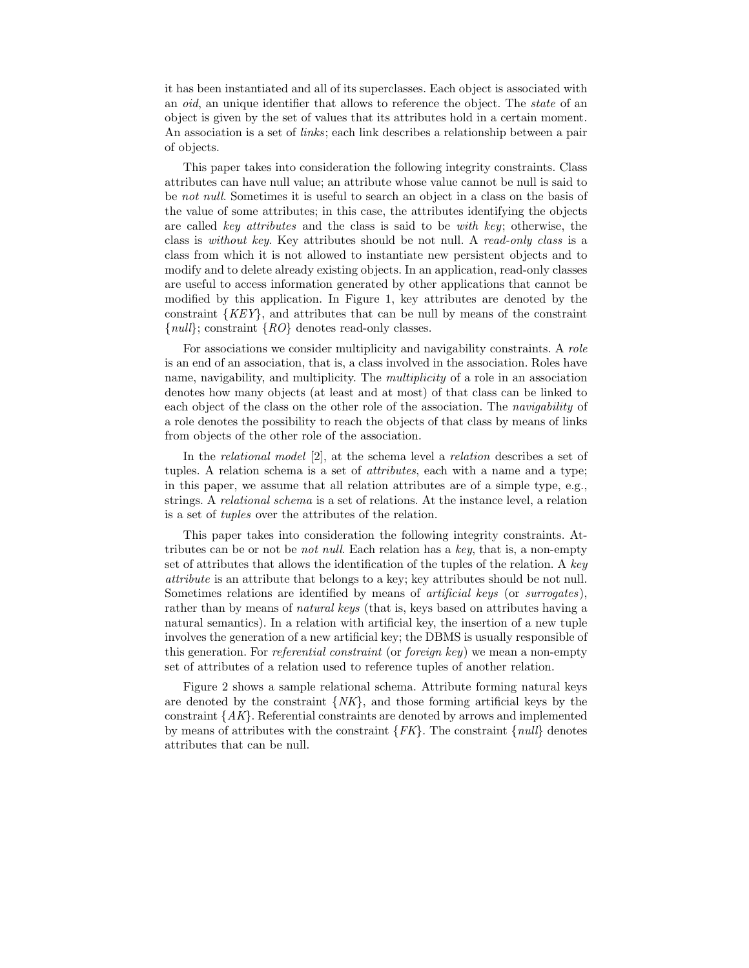it has been instantiated and all of its superclasses. Each object is associated with an oid, an unique identifier that allows to reference the object. The state of an object is given by the set of values that its attributes hold in a certain moment. An association is a set of links; each link describes a relationship between a pair of objects.

This paper takes into consideration the following integrity constraints. Class attributes can have null value; an attribute whose value cannot be null is said to be not null. Sometimes it is useful to search an object in a class on the basis of the value of some attributes; in this case, the attributes identifying the objects are called key attributes and the class is said to be with key; otherwise, the class is without key. Key attributes should be not null. A read-only class is a class from which it is not allowed to instantiate new persistent objects and to modify and to delete already existing objects. In an application, read-only classes are useful to access information generated by other applications that cannot be modified by this application. In Figure 1, key attributes are denoted by the constraint  $\{KEY\}$ , and attributes that can be null by means of the constraint  $\{null\}$ ; constraint  $\{RO\}$  denotes read-only classes.

For associations we consider multiplicity and navigability constraints. A role is an end of an association, that is, a class involved in the association. Roles have name, navigability, and multiplicity. The multiplicity of a role in an association denotes how many objects (at least and at most) of that class can be linked to each object of the class on the other role of the association. The *navigability* of a role denotes the possibility to reach the objects of that class by means of links from objects of the other role of the association.

In the *relational model* [2], at the schema level a *relation* describes a set of tuples. A relation schema is a set of attributes, each with a name and a type; in this paper, we assume that all relation attributes are of a simple type, e.g., strings. A relational schema is a set of relations. At the instance level, a relation is a set of tuples over the attributes of the relation.

This paper takes into consideration the following integrity constraints. Attributes can be or not be not null. Each relation has a key, that is, a non-empty set of attributes that allows the identification of the tuples of the relation. A key attribute is an attribute that belongs to a key; key attributes should be not null. Sometimes relations are identified by means of *artificial keys* (or *surrogates*), rather than by means of *natural keys* (that is, keys based on attributes having a natural semantics). In a relation with artificial key, the insertion of a new tuple involves the generation of a new artificial key; the DBMS is usually responsible of this generation. For *referential constraint* (or *foreign key*) we mean a non-empty set of attributes of a relation used to reference tuples of another relation.

Figure 2 shows a sample relational schema. Attribute forming natural keys are denoted by the constraint  $\{NK\}$ , and those forming artificial keys by the constraint  $\{AK\}$ . Referential constraints are denoted by arrows and implemented by means of attributes with the constraint  $\{FK\}$ . The constraint  $\{null\}$  denotes attributes that can be null.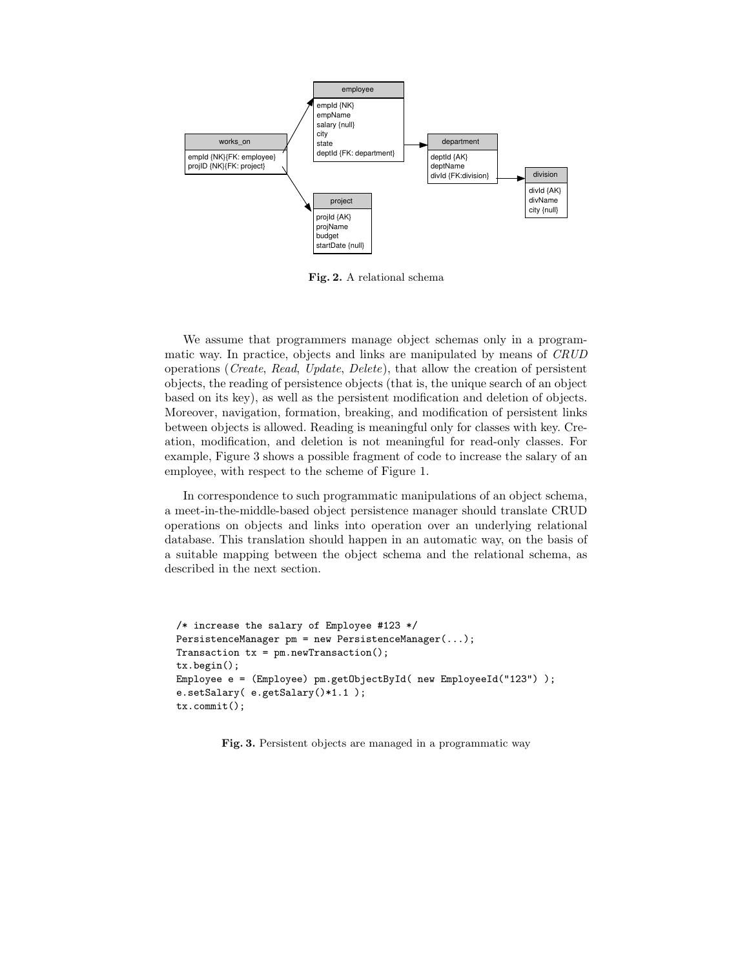

Fig. 2. A relational schema

We assume that programmers manage object schemas only in a programmatic way. In practice, objects and links are manipulated by means of CRUD operations (Create, Read, Update, Delete), that allow the creation of persistent objects, the reading of persistence objects (that is, the unique search of an object based on its key), as well as the persistent modification and deletion of objects. Moreover, navigation, formation, breaking, and modification of persistent links between objects is allowed. Reading is meaningful only for classes with key. Creation, modification, and deletion is not meaningful for read-only classes. For example, Figure 3 shows a possible fragment of code to increase the salary of an employee, with respect to the scheme of Figure 1.

In correspondence to such programmatic manipulations of an object schema, a meet-in-the-middle-based object persistence manager should translate CRUD operations on objects and links into operation over an underlying relational database. This translation should happen in an automatic way, on the basis of a suitable mapping between the object schema and the relational schema, as described in the next section.

```
/* increase the salary of Employee #123 */
PersistenceManager pm = new PersistenceManager(...);
Transaction tx = pm.newTransaction();
tx.begin();
Employee e = (Employee) pm.getObjectById( new EmployeeId("123") );
e.setSalary( e.getSalary()*1.1 );
tx.commit();
```
Fig. 3. Persistent objects are managed in a programmatic way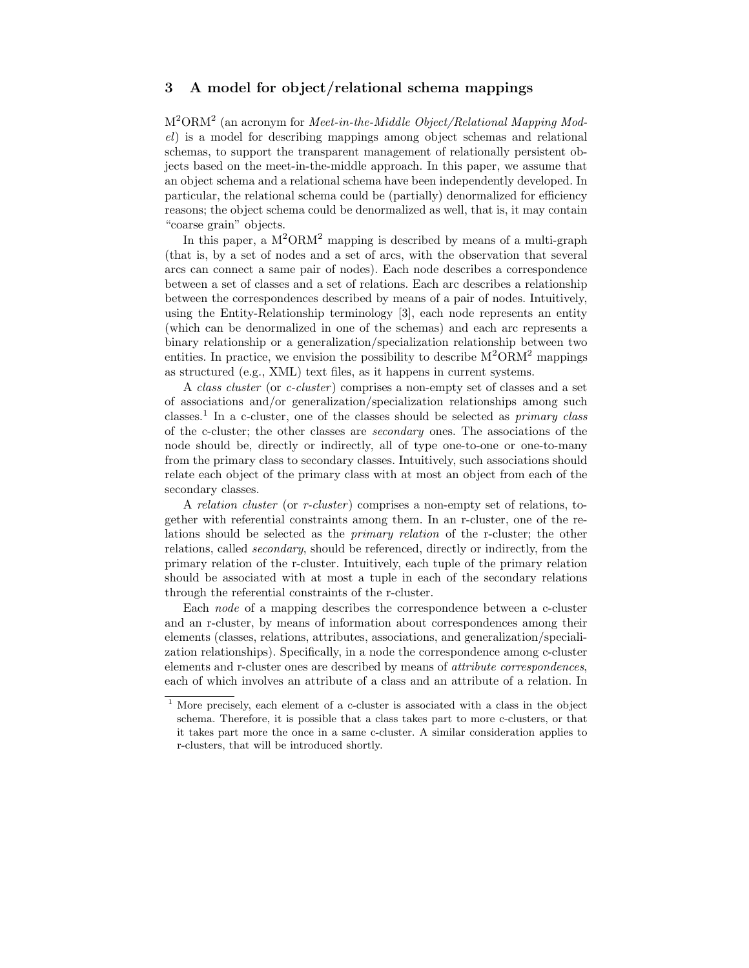# 3 A model for object/relational schema mappings

 $M^2\text{ORM}^2$  (an acronym for *Meet-in-the-Middle Object/Relational Mapping Mod*el) is a model for describing mappings among object schemas and relational schemas, to support the transparent management of relationally persistent objects based on the meet-in-the-middle approach. In this paper, we assume that an object schema and a relational schema have been independently developed. In particular, the relational schema could be (partially) denormalized for efficiency reasons; the object schema could be denormalized as well, that is, it may contain "coarse grain" objects.

In this paper, a  $M^2\text{OR}M^2$  mapping is described by means of a multi-graph (that is, by a set of nodes and a set of arcs, with the observation that several arcs can connect a same pair of nodes). Each node describes a correspondence between a set of classes and a set of relations. Each arc describes a relationship between the correspondences described by means of a pair of nodes. Intuitively, using the Entity-Relationship terminology [3], each node represents an entity (which can be denormalized in one of the schemas) and each arc represents a binary relationship or a generalization/specialization relationship between two entities. In practice, we envision the possibility to describe  $M^2\text{ORM}^2$  mappings as structured (e.g., XML) text files, as it happens in current systems.

A class cluster (or c-cluster ) comprises a non-empty set of classes and a set of associations and/or generalization/specialization relationships among such classes.<sup>1</sup> In a c-cluster, one of the classes should be selected as *primary class* of the c-cluster; the other classes are secondary ones. The associations of the node should be, directly or indirectly, all of type one-to-one or one-to-many from the primary class to secondary classes. Intuitively, such associations should relate each object of the primary class with at most an object from each of the secondary classes.

A relation cluster (or r-cluster ) comprises a non-empty set of relations, together with referential constraints among them. In an r-cluster, one of the relations should be selected as the primary relation of the r-cluster; the other relations, called secondary, should be referenced, directly or indirectly, from the primary relation of the r-cluster. Intuitively, each tuple of the primary relation should be associated with at most a tuple in each of the secondary relations through the referential constraints of the r-cluster.

Each node of a mapping describes the correspondence between a c-cluster and an r-cluster, by means of information about correspondences among their elements (classes, relations, attributes, associations, and generalization/specialization relationships). Specifically, in a node the correspondence among c-cluster elements and r-cluster ones are described by means of attribute correspondences, each of which involves an attribute of a class and an attribute of a relation. In

<sup>1</sup> More precisely, each element of a c-cluster is associated with a class in the object schema. Therefore, it is possible that a class takes part to more c-clusters, or that it takes part more the once in a same c-cluster. A similar consideration applies to r-clusters, that will be introduced shortly.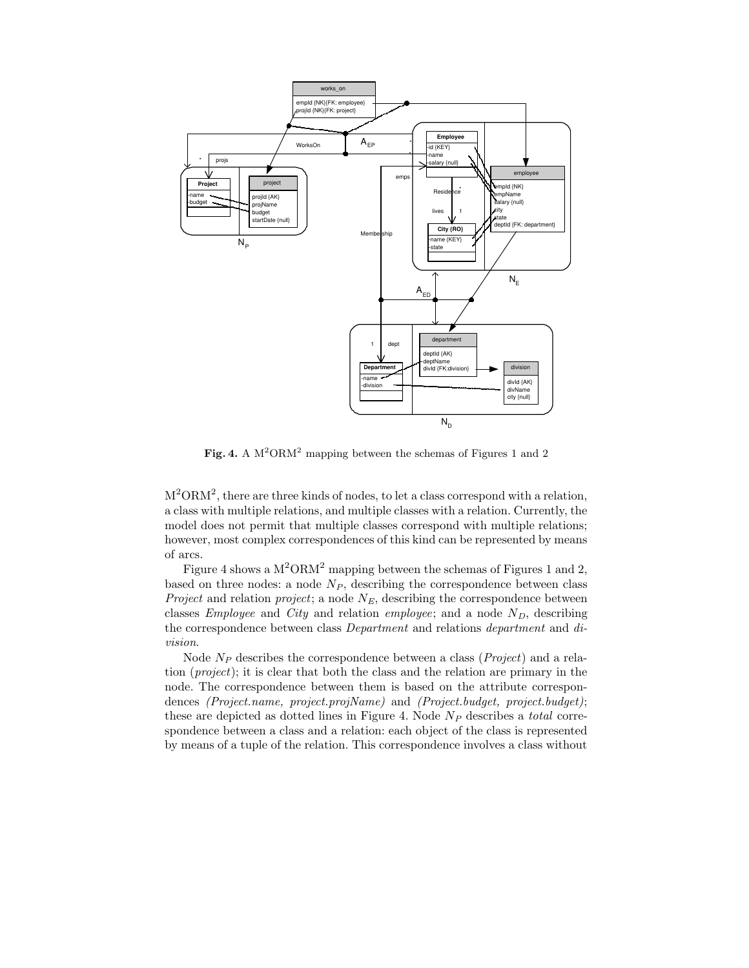

Fig. 4. A  $M^2\text{ORM}^2$  mapping between the schemas of Figures 1 and 2

 $M^2\text{ORM}^2$ , there are three kinds of nodes, to let a class correspond with a relation, a class with multiple relations, and multiple classes with a relation. Currently, the model does not permit that multiple classes correspond with multiple relations; however, most complex correspondences of this kind can be represented by means of arcs.

Figure 4 shows a  $M^2\text{ORM}^2$  mapping between the schemas of Figures 1 and 2, based on three nodes: a node  $N_P$ , describing the correspondence between class Project and relation project; a node  $N_E$ , describing the correspondence between classes *Employee* and *City* and relation *employee*; and a node  $N_D$ , describing the correspondence between class *Department* and relations *department* and *di*vision.

Node  $N_P$  describes the correspondence between a class (*Project*) and a relation (project); it is clear that both the class and the relation are primary in the node. The correspondence between them is based on the attribute correspondences (Project.name, project.projName) and (Project.budget, project.budget); these are depicted as dotted lines in Figure 4. Node  $N_P$  describes a *total* correspondence between a class and a relation: each object of the class is represented by means of a tuple of the relation. This correspondence involves a class without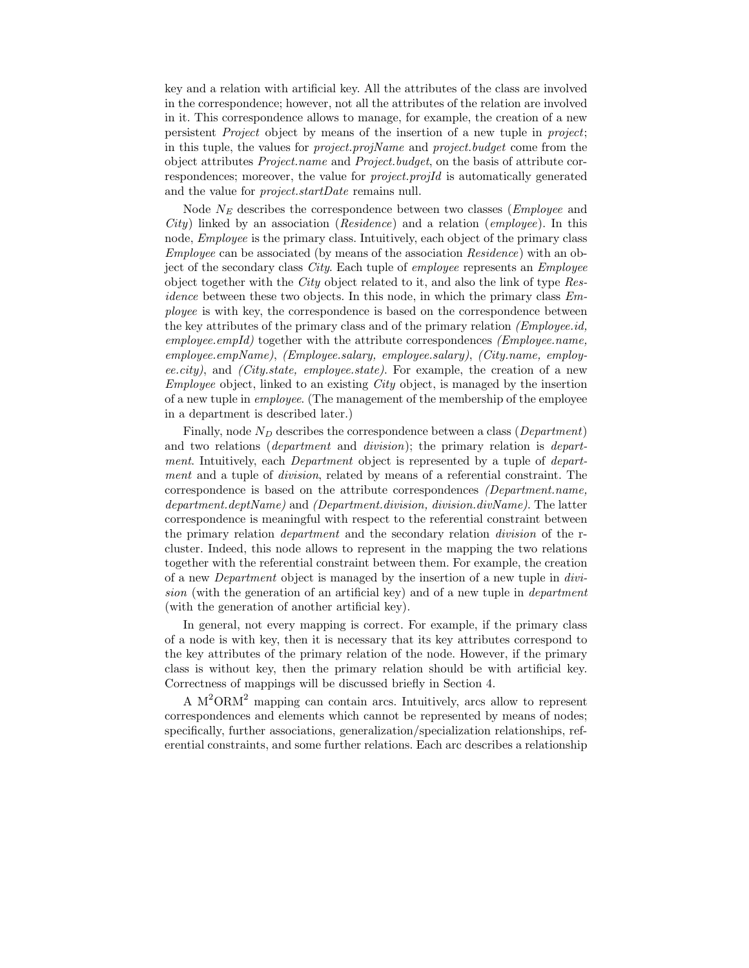key and a relation with artificial key. All the attributes of the class are involved in the correspondence; however, not all the attributes of the relation are involved in it. This correspondence allows to manage, for example, the creation of a new persistent Project object by means of the insertion of a new tuple in project; in this tuple, the values for project.projName and project.budget come from the object attributes Project.name and Project.budget, on the basis of attribute correspondences; moreover, the value for *project.projId* is automatically generated and the value for *project.startDate* remains null.

Node  $N_E$  describes the correspondence between two classes (*Employee* and City) linked by an association (Residence) and a relation (employee). In this node, Employee is the primary class. Intuitively, each object of the primary class Employee can be associated (by means of the association Residence) with an object of the secondary class City. Each tuple of employee represents an Employee object together with the City object related to it, and also the link of type Res*idence* between these two objects. In this node, in which the primary class  $Em$ ployee is with key, the correspondence is based on the correspondence between the key attributes of the primary class and of the primary relation *(Employee.id,*  $emplyee.emplo$  together with the attribute correspondences (*Employee.name*, employee.empName), (Employee.salary, employee.salary), (City.name, employee.city), and (City.state, employee.state). For example, the creation of a new Employee object, linked to an existing City object, is managed by the insertion of a new tuple in employee. (The management of the membership of the employee in a department is described later.)

Finally, node  $N_D$  describes the correspondence between a class (*Department*) and two relations (*department* and *division*); the primary relation is *depart*ment. Intuitively, each *Department* object is represented by a tuple of *depart*ment and a tuple of division, related by means of a referential constraint. The correspondence is based on the attribute correspondences (Department.name, department.deptName) and (Department.division, division.divName). The latter correspondence is meaningful with respect to the referential constraint between the primary relation department and the secondary relation division of the rcluster. Indeed, this node allows to represent in the mapping the two relations together with the referential constraint between them. For example, the creation of a new Department object is managed by the insertion of a new tuple in division (with the generation of an artificial key) and of a new tuple in department (with the generation of another artificial key).

In general, not every mapping is correct. For example, if the primary class of a node is with key, then it is necessary that its key attributes correspond to the key attributes of the primary relation of the node. However, if the primary class is without key, then the primary relation should be with artificial key. Correctness of mappings will be discussed briefly in Section 4.

A  $M^2ORM^2$  mapping can contain arcs. Intuitively, arcs allow to represent correspondences and elements which cannot be represented by means of nodes; specifically, further associations, generalization/specialization relationships, referential constraints, and some further relations. Each arc describes a relationship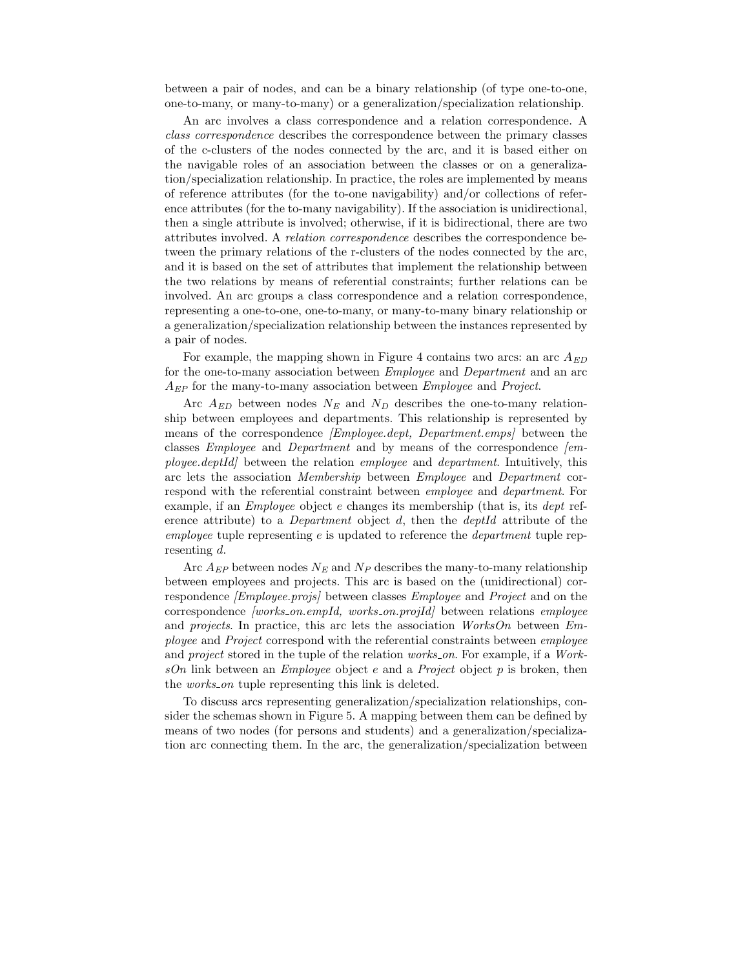between a pair of nodes, and can be a binary relationship (of type one-to-one, one-to-many, or many-to-many) or a generalization/specialization relationship.

An arc involves a class correspondence and a relation correspondence. A class correspondence describes the correspondence between the primary classes of the c-clusters of the nodes connected by the arc, and it is based either on the navigable roles of an association between the classes or on a generalization/specialization relationship. In practice, the roles are implemented by means of reference attributes (for the to-one navigability) and/or collections of reference attributes (for the to-many navigability). If the association is unidirectional, then a single attribute is involved; otherwise, if it is bidirectional, there are two attributes involved. A relation correspondence describes the correspondence between the primary relations of the r-clusters of the nodes connected by the arc, and it is based on the set of attributes that implement the relationship between the two relations by means of referential constraints; further relations can be involved. An arc groups a class correspondence and a relation correspondence, representing a one-to-one, one-to-many, or many-to-many binary relationship or a generalization/specialization relationship between the instances represented by a pair of nodes.

For example, the mapping shown in Figure 4 contains two arcs: an arc  $A_{ED}$ for the one-to-many association between *Employee* and *Department* and an arc AEP for the many-to-many association between Employee and Project.

Arc  $A_{ED}$  between nodes  $N_E$  and  $N_D$  describes the one-to-many relationship between employees and departments. This relationship is represented by means of the correspondence [Employee.dept, Department.emps] between the classes *Employee* and *Department* and by means of the correspondence [employee.deptId/ between the relation employee and department. Intuitively, this arc lets the association Membership between Employee and Department correspond with the referential constraint between employee and department. For example, if an *Employee* object e changes its membership (that is, its *dept* reference attribute) to a Department object d, then the deptId attribute of the employee tuple representing  $e$  is updated to reference the *department* tuple representing d.

Arc  $A_{EP}$  between nodes  $N_E$  and  $N_P$  describes the many-to-many relationship between employees and projects. This arc is based on the (unidirectional) correspondence [Employee.projs] between classes Employee and Project and on the correspondence [works\_on.empId, works\_on.projId] between relations employee and *projects*. In practice, this arc lets the association *WorksOn* between *Em*ployee and Project correspond with the referential constraints between employee and project stored in the tuple of the relation works on. For example, if a WorksOn link between an *Employee* object e and a *Project* object  $p$  is broken, then the *works\_on* tuple representing this link is deleted.

To discuss arcs representing generalization/specialization relationships, consider the schemas shown in Figure 5. A mapping between them can be defined by means of two nodes (for persons and students) and a generalization/specialization arc connecting them. In the arc, the generalization/specialization between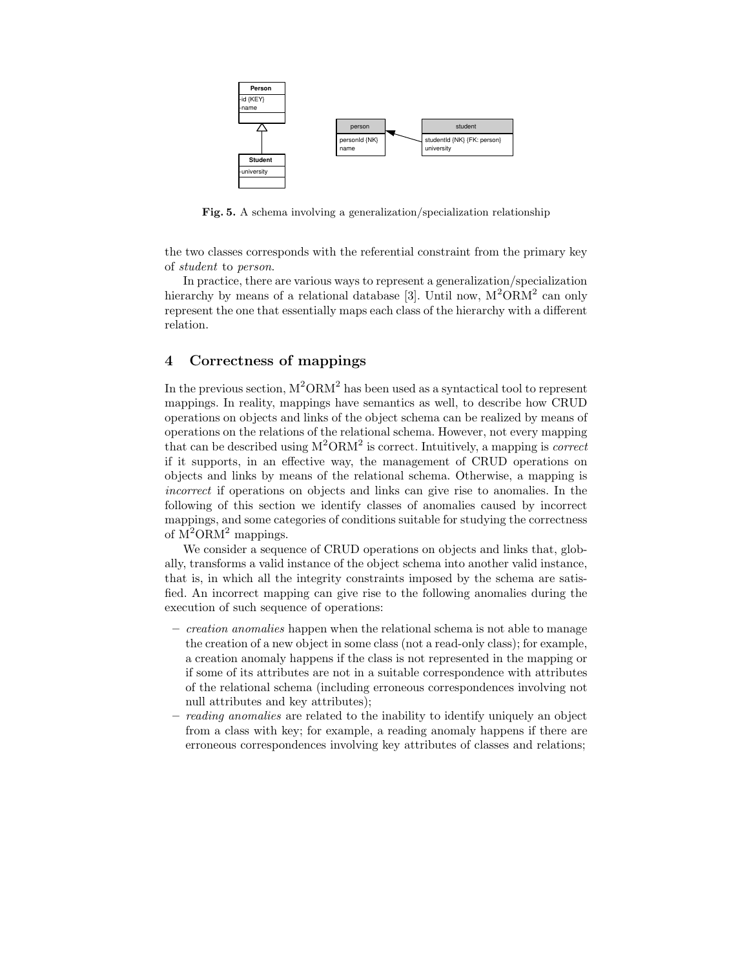

Fig. 5. A schema involving a generalization/specialization relationship

the two classes corresponds with the referential constraint from the primary key of student to person.

In practice, there are various ways to represent a generalization/specialization hierarchy by means of a relational database [3]. Until now,  $M^2\overrightarrow{ORM}^2$  can only represent the one that essentially maps each class of the hierarchy with a different relation.

# 4 Correctness of mappings

In the previous section,  $M^2ORM^2$  has been used as a syntactical tool to represent mappings. In reality, mappings have semantics as well, to describe how CRUD operations on objects and links of the object schema can be realized by means of operations on the relations of the relational schema. However, not every mapping that can be described using  $M^2\text{ORM}^2$  is correct. Intuitively, a mapping is *correct* if it supports, in an effective way, the management of CRUD operations on objects and links by means of the relational schema. Otherwise, a mapping is incorrect if operations on objects and links can give rise to anomalies. In the following of this section we identify classes of anomalies caused by incorrect mappings, and some categories of conditions suitable for studying the correctness of  $M^2\text{ORM}^2$  mappings.

We consider a sequence of CRUD operations on objects and links that, globally, transforms a valid instance of the object schema into another valid instance, that is, in which all the integrity constraints imposed by the schema are satisfied. An incorrect mapping can give rise to the following anomalies during the execution of such sequence of operations:

- $\sim$  creation anomalies happen when the relational schema is not able to manage the creation of a new object in some class (not a read-only class); for example, a creation anomaly happens if the class is not represented in the mapping or if some of its attributes are not in a suitable correspondence with attributes of the relational schema (including erroneous correspondences involving not null attributes and key attributes);
- reading anomalies are related to the inability to identify uniquely an object from a class with key; for example, a reading anomaly happens if there are erroneous correspondences involving key attributes of classes and relations;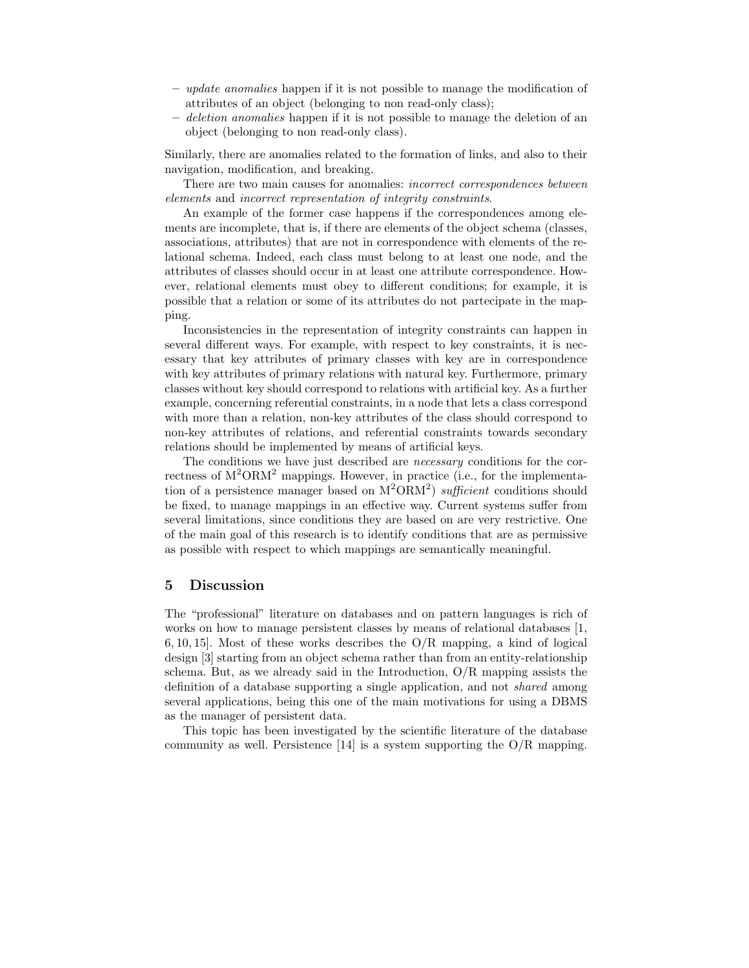- update anomalies happen if it is not possible to manage the modification of attributes of an object (belonging to non read-only class);
- deletion anomalies happen if it is not possible to manage the deletion of an object (belonging to non read-only class).

Similarly, there are anomalies related to the formation of links, and also to their navigation, modification, and breaking.

There are two main causes for anomalies: incorrect correspondences between elements and incorrect representation of integrity constraints.

An example of the former case happens if the correspondences among elements are incomplete, that is, if there are elements of the object schema (classes, associations, attributes) that are not in correspondence with elements of the relational schema. Indeed, each class must belong to at least one node, and the attributes of classes should occur in at least one attribute correspondence. However, relational elements must obey to different conditions; for example, it is possible that a relation or some of its attributes do not partecipate in the mapping.

Inconsistencies in the representation of integrity constraints can happen in several different ways. For example, with respect to key constraints, it is necessary that key attributes of primary classes with key are in correspondence with key attributes of primary relations with natural key. Furthermore, primary classes without key should correspond to relations with artificial key. As a further example, concerning referential constraints, in a node that lets a class correspond with more than a relation, non-key attributes of the class should correspond to non-key attributes of relations, and referential constraints towards secondary relations should be implemented by means of artificial keys.

The conditions we have just described are *necessary* conditions for the correctness of  $M^2\text{ORM}^2$  mappings. However, in practice (i.e., for the implementation of a persistence manager based on  $M^2\text{ORM}^2$ ) sufficient conditions should be fixed, to manage mappings in an effective way. Current systems suffer from several limitations, since conditions they are based on are very restrictive. One of the main goal of this research is to identify conditions that are as permissive as possible with respect to which mappings are semantically meaningful.

#### 5 Discussion

The "professional" literature on databases and on pattern languages is rich of works on how to manage persistent classes by means of relational databases [1, 6, 10, 15]. Most of these works describes the  $O/R$  mapping, a kind of logical design [3] starting from an object schema rather than from an entity-relationship schema. But, as we already said in the Introduction, O/R mapping assists the definition of a database supporting a single application, and not shared among several applications, being this one of the main motivations for using a DBMS as the manager of persistent data.

This topic has been investigated by the scientific literature of the database community as well. Persistence [14] is a system supporting the  $O/R$  mapping.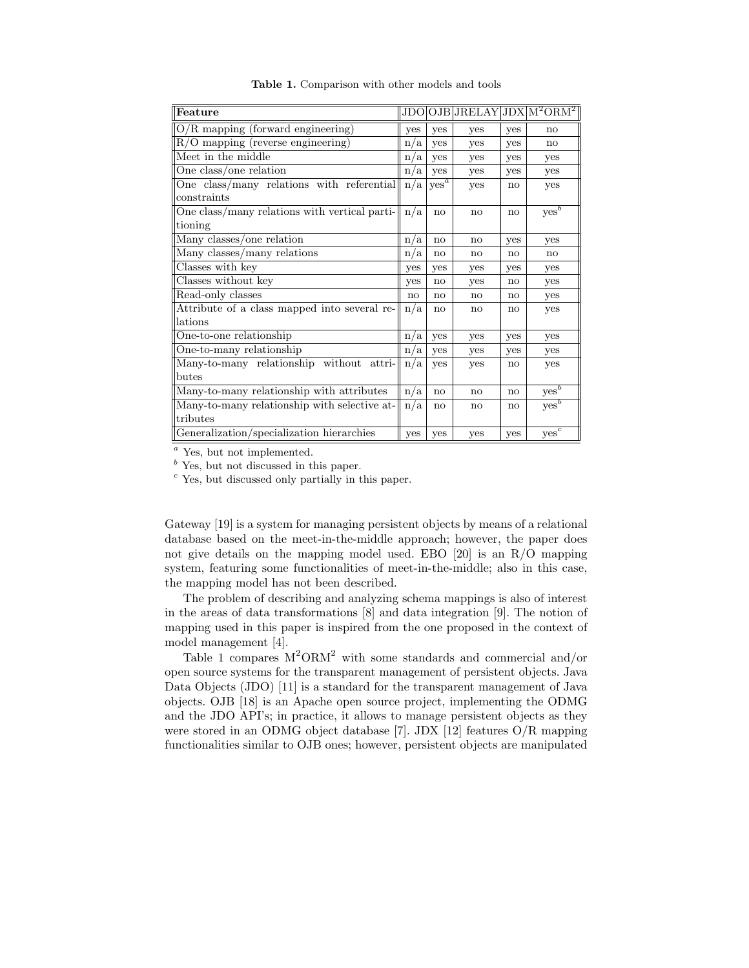| Feature                                                 |     |               |              |              | JDO OJB JRELAY JDX M <sup>2</sup> ORM <sup>2</sup> |
|---------------------------------------------------------|-----|---------------|--------------|--------------|----------------------------------------------------|
| $O/R$ mapping (forward engineering)                     | yes | yes           | yes          | yes          | no                                                 |
| $R/O$ mapping (reverse engineering)                     | n/a | yes           | yes          | yes          | no                                                 |
| Meet in the middle                                      | n/a | yes           | yes          | yes          | yes                                                |
| One class/one relation                                  | n/a | yes           | yes          | yes          | yes                                                |
| One class/many relations with referential $n/a$         |     | $yes^a$       | yes          | no           | yes                                                |
| constraints                                             |     |               |              |              |                                                    |
| One class/many relations with vertical parti- $\ n/a\ $ |     | $\mathbf{n}$  | no           | no           | $yes^b$                                            |
| tioning                                                 |     |               |              |              |                                                    |
| Many classes/one relation                               | n/a | $\mathbf{n}$  | no           | yes          | yes                                                |
| Many classes/many relations                             | n/a | $\mathbf{n}$  | $\mathbf{n}$ | no           | no                                                 |
| Classes with key                                        | yes | yes           | yes          | yes          | yes                                                |
| Classes without key                                     | yes | $\mathbf{no}$ | yes          | no           | yes                                                |
| Read-only classes                                       | no  | no            | no           | no           | yes                                                |
| Attribute of a class mapped into several re-            | n/a | $\mathbf{n}$  | no           | no           | yes                                                |
| lations                                                 |     |               |              |              |                                                    |
| One-to-one relationship                                 | n/a | yes           | yes          | yes          | yes                                                |
| One-to-many relationship                                | n/a | yes           | yes          | yes          | yes                                                |
| Many-to-many relationship without attri-                | n/a | yes           | yes          | no           | yes                                                |
| butes                                                   |     |               |              |              |                                                    |
| Many-to-many relationship with attributes               | n/a | no            | no           | no           | $yes^b$                                            |
| Many-to-many relationship with selective at-            | n/a | $\mathbf{no}$ | no           | $\mathbf{n}$ | $yes^b$                                            |
| tributes                                                |     |               |              |              |                                                    |
| Generalization/specialization hierarchies               | yes | yes           | yes          | yes          | $yes^{\overline{c}}$                               |

Table 1. Comparison with other models and tools

<sup>a</sup> Yes, but not implemented.

 $<sup>b</sup>$  Yes, but not discussed in this paper.</sup>

 $\degree$  Yes, but discussed only partially in this paper.

Gateway [19] is a system for managing persistent objects by means of a relational database based on the meet-in-the-middle approach; however, the paper does not give details on the mapping model used. EBO [20] is an  $R/O$  mapping system, featuring some functionalities of meet-in-the-middle; also in this case, the mapping model has not been described.

The problem of describing and analyzing schema mappings is also of interest in the areas of data transformations [8] and data integration [9]. The notion of mapping used in this paper is inspired from the one proposed in the context of model management [4].

Table 1 compares  $M^2\text{ORM}^2$  with some standards and commercial and/or open source systems for the transparent management of persistent objects. Java Data Objects (JDO) [11] is a standard for the transparent management of Java objects. OJB [18] is an Apache open source project, implementing the ODMG and the JDO API's; in practice, it allows to manage persistent objects as they were stored in an ODMG object database [7]. JDX [12] features O/R mapping functionalities similar to OJB ones; however, persistent objects are manipulated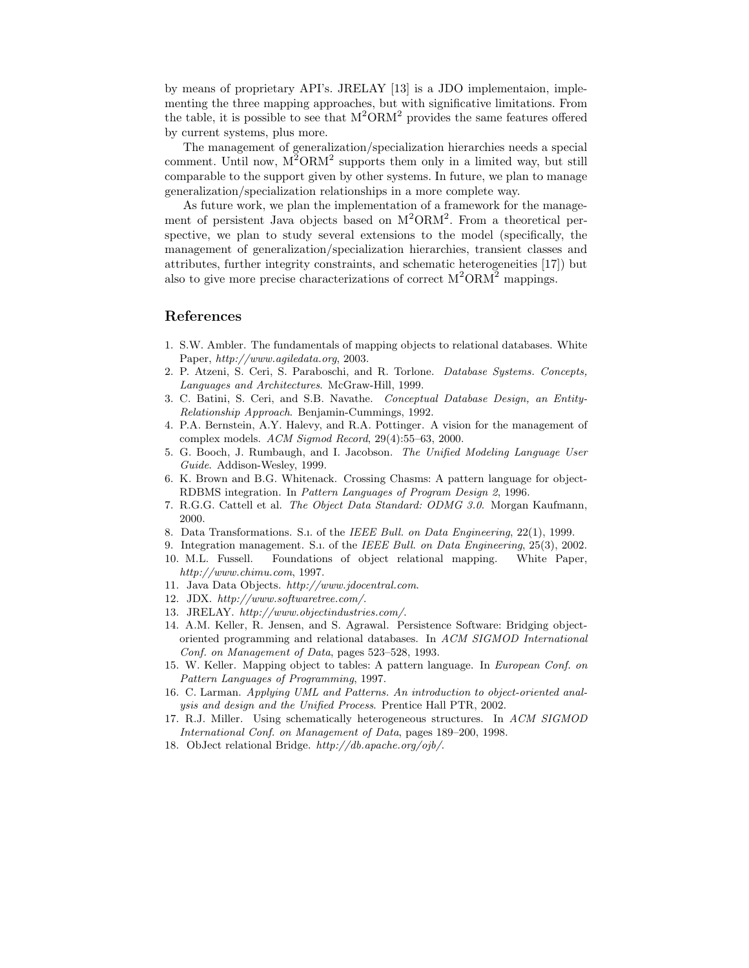by means of proprietary API's. JRELAY [13] is a JDO implementaion, implementing the three mapping approaches, but with significative limitations. From the table, it is possible to see that  $M^2\text{ORM}^2$  provides the same features offered by current systems, plus more.

The management of generalization/specialization hierarchies needs a special comment. Until now,  $M^2ORM^2$  supports them only in a limited way, but still comparable to the support given by other systems. In future, we plan to manage generalization/specialization relationships in a more complete way.

As future work, we plan the implementation of a framework for the management of persistent Java objects based on M<sup>2</sup>ORM<sup>2</sup>. From a theoretical perspective, we plan to study several extensions to the model (specifically, the management of generalization/specialization hierarchies, transient classes and attributes, further integrity constraints, and schematic heterogeneities [17]) but also to give more precise characterizations of correct  $M^2ORM^2$  mappings.

# References

- 1. S.W. Ambler. The fundamentals of mapping objects to relational databases. White Paper, http://www.agiledata.org, 2003.
- 2. P. Atzeni, S. Ceri, S. Paraboschi, and R. Torlone. Database Systems. Concepts, Languages and Architectures. McGraw-Hill, 1999.
- 3. C. Batini, S. Ceri, and S.B. Navathe. Conceptual Database Design, an Entity-Relationship Approach. Benjamin-Cummings, 1992.
- 4. P.A. Bernstein, A.Y. Halevy, and R.A. Pottinger. A vision for the management of complex models. ACM Sigmod Record, 29(4):55–63, 2000.
- 5. G. Booch, J. Rumbaugh, and I. Jacobson. The Unified Modeling Language User Guide. Addison-Wesley, 1999.
- 6. K. Brown and B.G. Whitenack. Crossing Chasms: A pattern language for object-RDBMS integration. In Pattern Languages of Program Design 2, 1996.
- 7. R.G.G. Cattell et al. The Object Data Standard: ODMG 3.0. Morgan Kaufmann, 2000.
- 8. Data Transformations. S.ı. of the IEEE Bull. on Data Engineering, 22(1), 1999.
- 9. Integration management. S.ı. of the IEEE Bull. on Data Engineering, 25(3), 2002.
- 10. M.L. Fussell. Foundations of object relational mapping. White Paper, http://www.chimu.com, 1997.
- 11. Java Data Objects. http://www.jdocentral.com.
- 12. JDX. http://www.softwaretree.com/.
- 13. JRELAY. http://www.objectindustries.com/.
- 14. A.M. Keller, R. Jensen, and S. Agrawal. Persistence Software: Bridging objectoriented programming and relational databases. In ACM SIGMOD International Conf. on Management of Data, pages 523–528, 1993.
- 15. W. Keller. Mapping object to tables: A pattern language. In European Conf. on Pattern Languages of Programming, 1997.
- 16. C. Larman. Applying UML and Patterns. An introduction to object-oriented analysis and design and the Unified Process. Prentice Hall PTR, 2002.
- 17. R.J. Miller. Using schematically heterogeneous structures. In ACM SIGMOD International Conf. on Management of Data, pages 189–200, 1998.
- 18. ObJect relational Bridge. http://db.apache.org/ojb/.